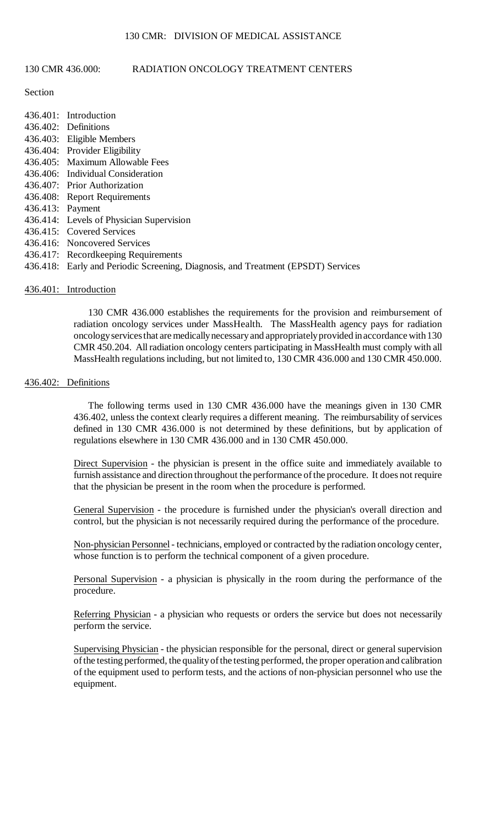# 130 CMR 436.000: RADIATION ONCOLOGY TREATMENT CENTERS

## Section

|                  | 436.401: Introduction                                                            |
|------------------|----------------------------------------------------------------------------------|
|                  | 436.402: Definitions                                                             |
|                  | 436.403: Eligible Members                                                        |
|                  | 436.404: Provider Eligibility                                                    |
|                  | 436.405: Maximum Allowable Fees                                                  |
|                  | 436.406: Individual Consideration                                                |
|                  | 436.407: Prior Authorization                                                     |
|                  | 436.408: Report Requirements                                                     |
| 436.413: Payment |                                                                                  |
|                  | 436.414: Levels of Physician Supervision                                         |
|                  | 436.415: Covered Services                                                        |
|                  | 436.416: Noncovered Services                                                     |
|                  | 436.417: Recordkeeping Requirements                                              |
|                  | 436.418: Early and Periodic Screening, Diagnosis, and Treatment (EPSDT) Services |

## 436.401: Introduction

 CMR 450.204. All radiation oncology centers participating in MassHealth must comply with all 130 CMR 436.000 establishes the requirements for the provision and reimbursement of radiation oncology services under MassHealth. The MassHealth agency pays for radiation oncology services that are medically necessaryand appropriatelyprovided in accordance with 130 MassHealth regulations including, but not limited to, 130 CMR 436.000 and 130 CMR 450.000.

### 436.402: Definitions

The following terms used in 130 CMR 436.000 have the meanings given in 130 CMR 436.402, unless the context clearly requires a different meaning. The reimbursability of services defined in 130 CMR 436.000 is not determined by these definitions, but by application of regulations elsewhere in 130 CMR 436.000 and in 130 CMR 450.000.

 furnish assistance and direction throughout the performance of the procedure. It does not require Direct Supervision - the physician is present in the office suite and immediately available to that the physician be present in the room when the procedure is performed.

General Supervision - the procedure is furnished under the physician's overall direction and control, but the physician is not necessarily required during the performance of the procedure.

Non-physician Personnel - technicians, employed or contracted by the radiation oncology center, whose function is to perform the technical component of a given procedure.

Personal Supervision - a physician is physically in the room during the performance of the procedure.

Referring Physician - a physician who requests or orders the service but does not necessarily perform the service.

Supervising Physician - the physician responsible for the personal, direct or general supervision of the testing performed, the quality of the testing performed, the proper operation and calibration of the equipment used to perform tests, and the actions of non-physician personnel who use the equipment.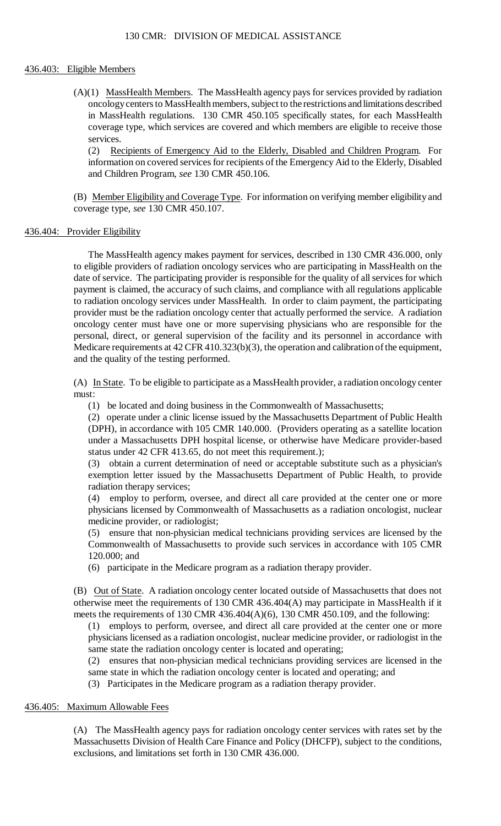## 436.403: Eligible Members

 $(A)(1)$  MassHealth Members. The MassHealth agency pays for services provided by radiation oncology centers to MassHealth members, subject to the restrictions and limitations described in MassHealth regulations. 130 CMR 450.105 specifically states, for each MassHealth coverage type, which services are covered and which members are eligible to receive those services.

(2) Recipients of Emergency Aid to the Elderly, Disabled and Children Program. For information on covered services for recipients of the Emergency Aid to the Elderly, Disabled and Children Program, *see* 130 CMR 450.106.

(B) Member Eligibility and Coverage Type. For information on verifying member eligibility and coverage type, *see* 130 CMR 450.107.

### 436.404: Provider Eligibility

 The MassHealth agency makes payment for services, described in 130 CMR 436.000, only to eligible providers of radiation oncology services who are participating in MassHealth on the payment is claimed, the accuracy of such claims, and compliance with all regulations applicable to radiation oncology services under MassHealth. In order to claim payment, the participating provider must be the radiation oncology center that actually performed the service. A radiation date of service. The participating provider is responsible for the quality of all services for which oncology center must have one or more supervising physicians who are responsible for the personal, direct, or general supervision of the facility and its personnel in accordance with Medicare requirements at 42 CFR 410.323(b)(3), the operation and calibration of the equipment, and the quality of the testing performed.

(A) In State. To be eligible to participate as a MassHealth provider, a radiation oncology center must:

(1) be located and doing business in the Commonwealth of Massachusetts;

 (2) operate under a clinic license issued by the Massachusetts Department of Public Health (DPH), in accordance with 105 CMR 140.000. (Providers operating as a satellite location under a Massachusetts DPH hospital license, or otherwise have Medicare provider-based status under 42 CFR 413.65, do not meet this requirement.);

 exemption letter issued by the Massachusetts Department of Public Health, to provide (3) obtain a current determination of need or acceptable substitute such as a physician's radiation therapy services;

(4) employ to perform, oversee, and direct all care provided at the center one or more physicians licensed by Commonwealth of Massachusetts as a radiation oncologist, nuclear medicine provider, or radiologist;

 (5) ensure that non-physician medical technicians providing services are licensed by the Commonwealth of Massachusetts to provide such services in accordance with 105 CMR 120.000; and

(6) participate in the Medicare program as a radiation therapy provider.

(B) Out of State. A radiation oncology center located outside of Massachusetts that does not otherwise meet the requirements of 130 CMR 436.404(A) may participate in MassHealth if it meets the requirements of 130 CMR 436.404(A)(6), 130 CMR 450.109, and the following:

(1) employs to perform, oversee, and direct all care provided at the center one or more physicians licensed as a radiation oncologist, nuclear medicine provider, or radiologist in the same state the radiation oncology center is located and operating;

(2) ensures that non-physician medical technicians providing services are licensed in the same state in which the radiation oncology center is located and operating; and

(3) Participates in the Medicare program as a radiation therapy provider.

## 436.405: Maximum Allowable Fees

(A) The MassHealth agency pays for radiation oncology center services with rates set by the Massachusetts Division of Health Care Finance and Policy (DHCFP), subject to the conditions, exclusions, and limitations set forth in 130 CMR 436.000.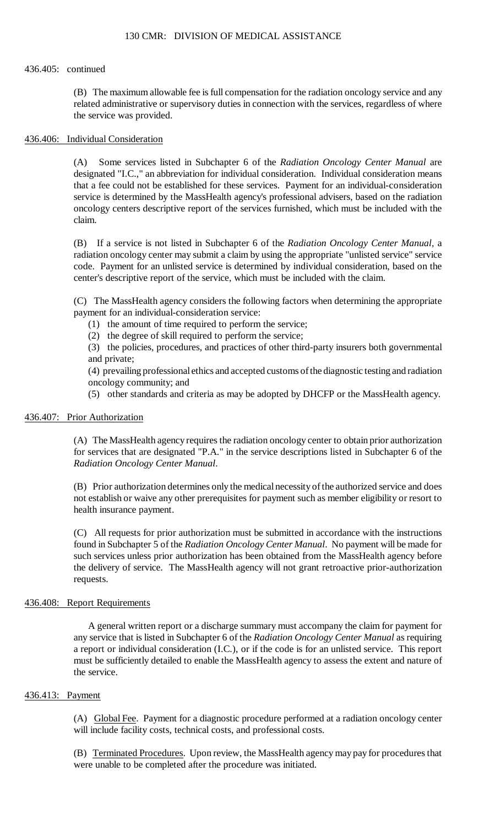## 436.405: continued

 (B) The maximum allowable fee is full compensation for the radiation oncology service and any related administrative or supervisory duties in connection with the services, regardless of where the service was provided.

## 436.406: Individual Consideration

(A) Some services listed in Subchapter 6 of the *Radiation Oncology Center Manual* are designated "I.C.," an abbreviation for individual consideration. Individual consideration means that a fee could not be established for these services. Payment for an individual-consideration service is determined by the MassHealth agency's professional advisers, based on the radiation oncology centers descriptive report of the services furnished, which must be included with the claim.

(B) If a service is not listed in Subchapter 6 of the *Radiation Oncology Center Manual*, a radiation oncology center may submit a claim by using the appropriate "unlisted service" service code. Payment for an unlisted service is determined by individual consideration, based on the center's descriptive report of the service, which must be included with the claim.

(C) The MassHealth agency considers the following factors when determining the appropriate payment for an individual-consideration service:

- (1) the amount of time required to perform the service;
- (2) the degree of skill required to perform the service;

(3) the policies, procedures, and practices of other third-party insurers both governmental and private;

(4) prevailing professional ethics and accepted customs of the diagnostic testing and radiation oncology community; and

(5) other standards and criteria as may be adopted by DHCFP or the MassHealth agency.

## 436.407: Prior Authorization

 (A) The MassHealth agency requires the radiation oncology center to obtain prior authorization for services that are designated "P.A." in the service descriptions listed in Subchapter 6 of the *Radiation Oncology Center Manual*.

 (B) Prior authorization determines only the medical necessity of the authorized service and does not establish or waive any other prerequisites for payment such as member eligibility or resort to health insurance payment.

 such services unless prior authorization has been obtained from the MassHealth agency before (C) All requests for prior authorization must be submitted in accordance with the instructions found in Subchapter 5 of the *Radiation Oncology Center Manual*. No payment will be made for the delivery of service. The MassHealth agency will not grant retroactive prior-authorization requests.

## 436.408: Report Requirements

 A general written report or a discharge summary must accompany the claim for payment for a report or individual consideration (I.C.), or if the code is for an unlisted service. This report any service that is listed in Subchapter 6 of the *Radiation Oncology Center Manual* as requiring must be sufficiently detailed to enable the MassHealth agency to assess the extent and nature of the service.

## 436.413: Payment

(A) Global Fee. Payment for a diagnostic procedure performed at a radiation oncology center will include facility costs, technical costs, and professional costs.

(B) Terminated Procedures. Upon review, the MassHealth agency may pay for procedures that were unable to be completed after the procedure was initiated.